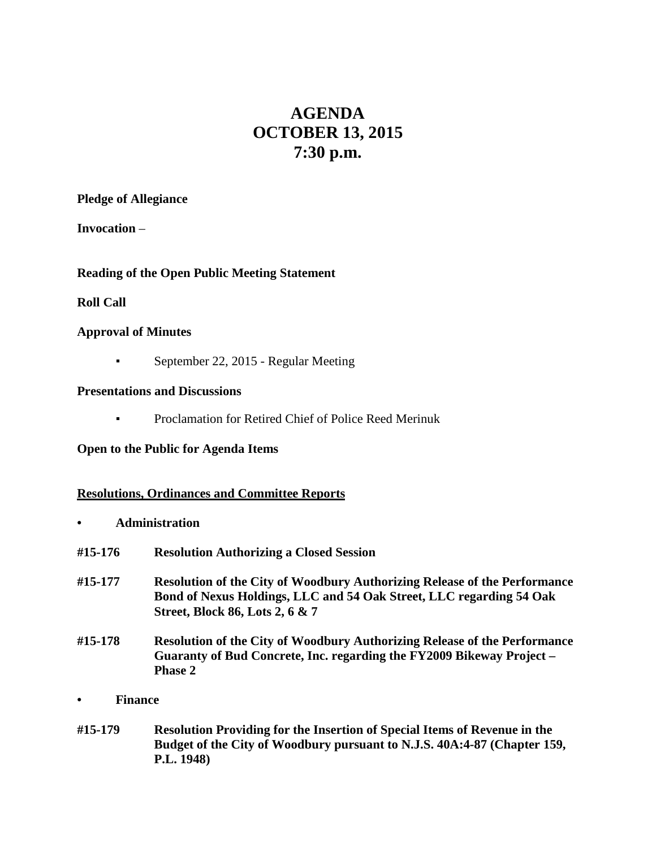# **AGENDA OCTOBER 13, 2015 7:30 p.m.**

#### **Pledge of Allegiance**

**Invocation** –

## **Reading of the Open Public Meeting Statement**

## **Roll Call**

## **Approval of Minutes**

• September 22, 2015 - Regular Meeting

## **Presentations and Discussions**

**• Proclamation for Retired Chief of Police Reed Merinuk** 

## **Open to the Public for Agenda Items**

## **Resolutions, Ordinances and Committee Reports**

- **• Administration**
- **#15-176 Resolution Authorizing a Closed Session**
- **#15-177 Resolution of the City of Woodbury Authorizing Release of the Performance Bond of Nexus Holdings, LLC and 54 Oak Street, LLC regarding 54 Oak Street, Block 86, Lots 2, 6 & 7**
- **#15-178 Resolution of the City of Woodbury Authorizing Release of the Performance Guaranty of Bud Concrete, Inc. regarding the FY2009 Bikeway Project – Phase 2**
- **• Finance**
- **#15-179 Resolution Providing for the Insertion of Special Items of Revenue in the Budget of the City of Woodbury pursuant to N.J.S. 40A:4-87 (Chapter 159, P.L. 1948)**